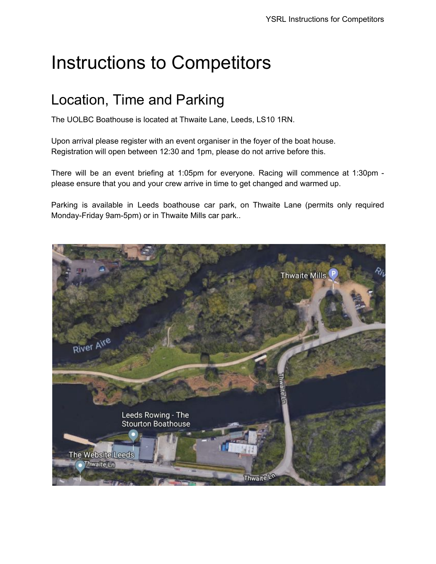# Instructions to Competitors

#### Location, Time and Parking

The UOLBC Boathouse is located at Thwaite Lane, Leeds, LS10 1RN.

Upon arrival please register with an event organiser in the foyer of the boat house. Registration will open between 12:30 and 1pm, please do not arrive before this.

There will be an event briefing at 1:05pm for everyone. Racing will commence at 1:30pm please ensure that you and your crew arrive in time to get changed and warmed up.

Parking is available in Leeds boathouse car park, on Thwaite Lane (permits only required Monday-Friday 9am-5pm) or in Thwaite Mills car park..

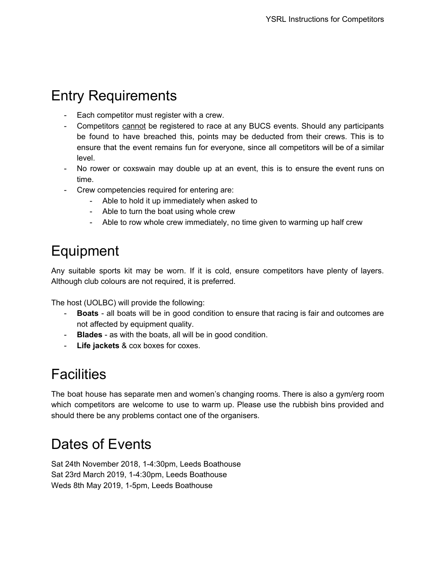#### Entry Requirements

- Each competitor must register with a crew.
- Competitors cannot be registered to race at any BUCS events. Should any participants be found to have breached this, points may be deducted from their crews. This is to ensure that the event remains fun for everyone, since all competitors will be of a similar level.
- No rower or coxswain may double up at an event, this is to ensure the event runs on time.
- Crew competencies required for entering are:
	- Able to hold it up immediately when asked to
	- Able to turn the boat using whole crew
	- Able to row whole crew immediately, no time given to warming up half crew

### Equipment

Any suitable sports kit may be worn. If it is cold, ensure competitors have plenty of layers. Although club colours are not required, it is preferred.

The host (UOLBC) will provide the following:

- **Boats** all boats will be in good condition to ensure that racing is fair and outcomes are not affected by equipment quality.
- **Blades** as with the boats, all will be in good condition.
- **Life jackets** & cox boxes for coxes.

### **Facilities**

The boat house has separate men and women's changing rooms. There is also a gym/erg room which competitors are welcome to use to warm up. Please use the rubbish bins provided and should there be any problems contact one of the organisers.

## Dates of Events

Sat 24th November 2018, 1-4:30pm, Leeds Boathouse Sat 23rd March 2019, 1-4:30pm, Leeds Boathouse Weds 8th May 2019, 1-5pm, Leeds Boathouse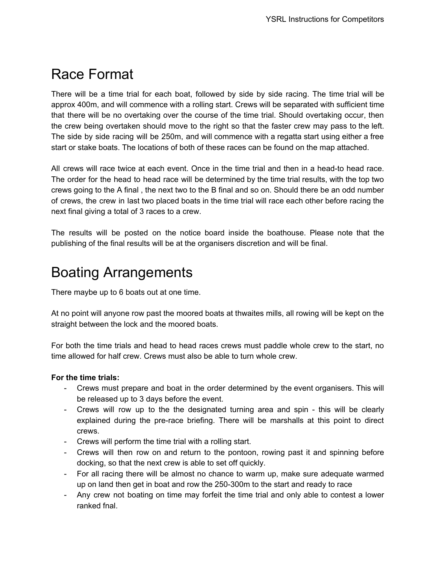#### Race Format

There will be a time trial for each boat, followed by side by side racing. The time trial will be approx 400m, and will commence with a rolling start. Crews will be separated with sufficient time that there will be no overtaking over the course of the time trial. Should overtaking occur, then the crew being overtaken should move to the right so that the faster crew may pass to the left. The side by side racing will be 250m, and will commence with a regatta start using either a free start or stake boats. The locations of both of these races can be found on the map attached.

All crews will race twice at each event. Once in the time trial and then in a head-to head race. The order for the head to head race will be determined by the time trial results, with the top two crews going to the A final , the next two to the B final and so on. Should there be an odd number of crews, the crew in last two placed boats in the time trial will race each other before racing the next final giving a total of 3 races to a crew.

The results will be posted on the notice board inside the boathouse. Please note that the publishing of the final results will be at the organisers discretion and will be final.

#### Boating Arrangements

There maybe up to 6 boats out at one time.

At no point will anyone row past the moored boats at thwaites mills, all rowing will be kept on the straight between the lock and the moored boats.

For both the time trials and head to head races crews must paddle whole crew to the start, no time allowed for half crew. Crews must also be able to turn whole crew.

#### **For the time trials:**

- Crews must prepare and boat in the order determined by the event organisers. This will be released up to 3 days before the event.
- Crews will row up to the the designated turning area and spin this will be clearly explained during the pre-race briefing. There will be marshalls at this point to direct crews.
- Crews will perform the time trial with a rolling start.
- Crews will then row on and return to the pontoon, rowing past it and spinning before docking, so that the next crew is able to set off quickly.
- For all racing there will be almost no chance to warm up, make sure adequate warmed up on land then get in boat and row the 250-300m to the start and ready to race
- Any crew not boating on time may forfeit the time trial and only able to contest a lower ranked fnal.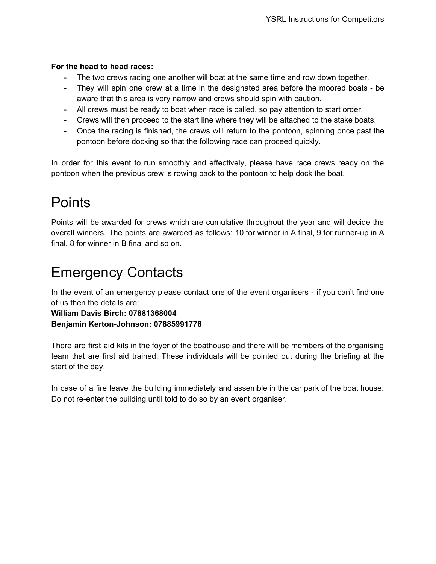#### **For the head to head races:**

- The two crews racing one another will boat at the same time and row down together.
- They will spin one crew at a time in the designated area before the moored boats be aware that this area is very narrow and crews should spin with caution.
- All crews must be ready to boat when race is called, so pay attention to start order.
- Crews will then proceed to the start line where they will be attached to the stake boats.
- Once the racing is finished, the crews will return to the pontoon, spinning once past the pontoon before docking so that the following race can proceed quickly.

In order for this event to run smoothly and effectively, please have race crews ready on the pontoon when the previous crew is rowing back to the pontoon to help dock the boat.

#### **Points**

Points will be awarded for crews which are cumulative throughout the year and will decide the overall winners. The points are awarded as follows: 10 for winner in A final, 9 for runner-up in A final, 8 for winner in B final and so on.

#### Emergency Contacts

In the event of an emergency please contact one of the event organisers - if you can't find one of us then the details are:

**William Davis Birch: 07881368004**

**Benjamin Kerton-Johnson: 07885991776**

There are first aid kits in the foyer of the boathouse and there will be members of the organising team that are first aid trained. These individuals will be pointed out during the briefing at the start of the day.

In case of a fire leave the building immediately and assemble in the car park of the boat house. Do not re-enter the building until told to do so by an event organiser.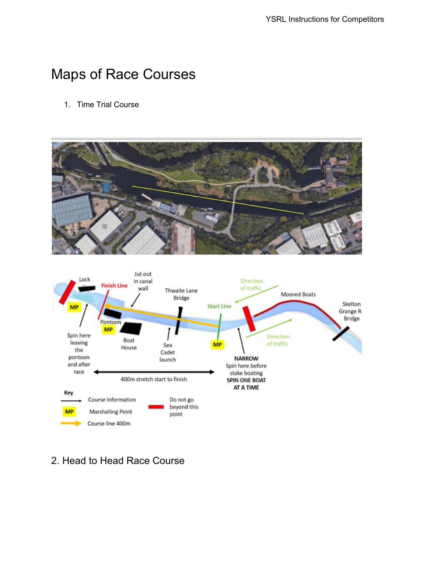#### Maps of Race Courses

1. Time Trial Course





#### 2. Head to Head Race Course